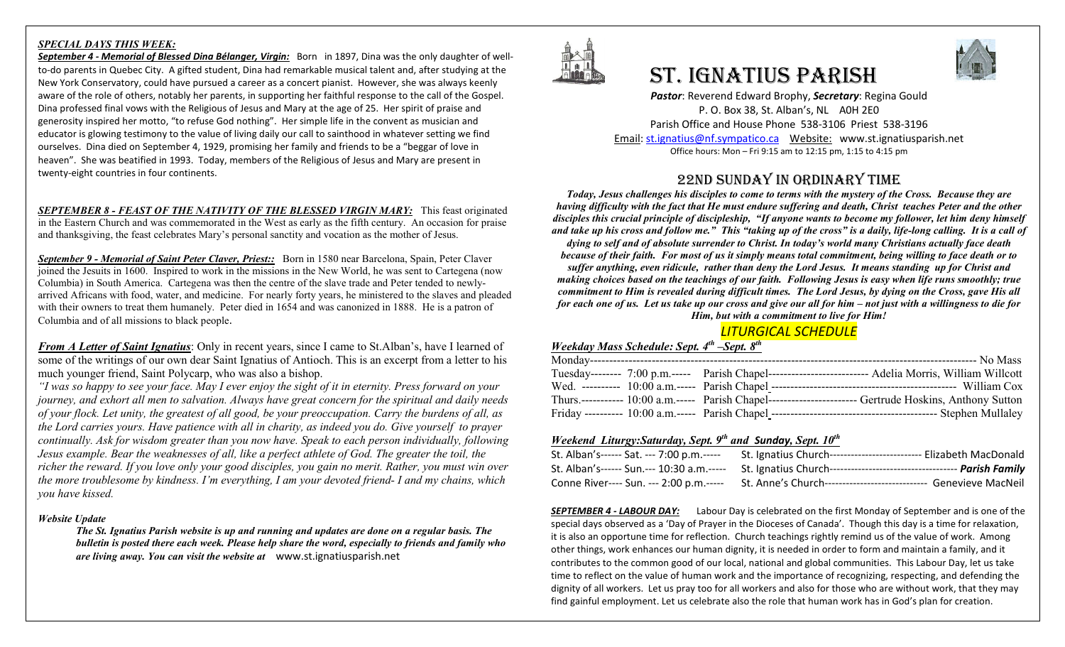### *SPECIAL DAYS THIS WEEK:*

*September 4 - Memorial of Blessed Dina Bélanger, Virgin:* Born in 1897, Dina was the only daughter of wellto-do parents in Quebec City. A gifted student, Dina had remarkable musical talent and, after studying at the New York Conservatory, could have pursued a career as a concert pianist. However, she was always keenly aware of the role of others, notably her parents, in supporting her faithful response to the call of the Gospel. Dina professed final vows with the Religious of Jesus and Mary at the age of 25. Her spirit of praise and generosity inspired her motto, "to refuse God nothing". Her simple life in the convent as musician and educator is glowing testimony to the value of living daily our call to sainthood in whatever setting we find ourselves. Dina died on September 4, 1929, promising her family and friends to be a "beggar of love in heaven". She was beatified in 1993. Today, members of the Religious of Jesus and Mary are present in twenty-eight countries in four continents.

*SEPTEMBER 8 - FEAST OF THE NATIVITY OF THE BLESSED VIRGIN MARY:* This feast originated in the Eastern Church and was commemorated in the West as early as the fifth century. An occasion for praise and thanksgiving, the feast celebrates Mary's personal sanctity and vocation as the mother of Jesus.

*September 9 - Memorial of Saint Peter Claver, Priest::* Born in 1580 near Barcelona, Spain, Peter Claver joined the Jesuits in 1600. Inspired to work in the missions in the New World, he was sent to Cartegena (now Columbia) in South America. Cartegena was then the centre of the slave trade and Peter tended to newlyarrived Africans with food, water, and medicine. For nearly forty years, he ministered to the slaves and pleaded with their owners to treat them humanely. Peter died in 1654 and was canonized in 1888. He is a patron of Columbia and of all missions to black people.

*From A Letter of Saint Ignatius*: Only in recent years, since I came to St.Alban's, have I learned of some of the writings of our own dear Saint Ignatius of Antioch. This is an excerpt from a letter to his much younger friend, Saint Polycarp, who was also a bishop.

*"I was so happy to see your face. May I ever enjoy the sight of it in eternity. Press forward on your journey, and exhort all men to salvation. Always have great concern for the spiritual and daily needs of your flock. Let unity, the greatest of all good, be your preoccupation. Carry the burdens of all, as the Lord carries yours. Have patience with all in charity, as indeed you do. Give yourself to prayer continually. Ask for wisdom greater than you now have. Speak to each person individually, following Jesus example. Bear the weaknesses of all, like a perfect athlete of God. The greater the toil, the richer the reward. If you love only your good disciples, you gain no merit. Rather, you must win over the more troublesome by kindness. I'm everything, I am your devoted friend- I and my chains, which you have kissed.*

### *Website Update*

*The St. Ignatius Parish website is up and running and updates are done on a regular basis. The bulletin is posted there each week. Please help share the word, especially to friends and family who are living away. You can visit the website at* www.st.ignatiusparish.net



# St. IgnAtIuS PArISh



*Pastor*: Reverend Edward Brophy, *Secretary*: Regina Gould P. O. Box 38, St. Alban's, NL A0H 2E0 Parish Office and House Phone 538-3106 Priest 538-3196 Email[: st.ignatius@nf.sympatico.ca](mailto:st.ignatius@nf.sympatico.ca) Website: www.st.ignatiusparish.net Office hours: Mon – Fri 9:15 am to 12:15 pm, 1:15 to 4:15 pm

# 22nd SundAy In ordInAry tIMe

*Today, Jesus challenges his disciples to come to terms with the mystery of the Cross. Because they are having difficulty with the fact that He must endure suffering and death, Christ teaches Peter and the other disciples this crucial principle of discipleship, "If anyone wants to become my follower, let him deny himself and take up his cross and follow me." This "taking up of the cross" is a daily, life-long calling. It is a call of dying to self and of absolute surrender to Christ. In today's world many Christians actually face death because of their faith. For most of us it simply means total commitment, being willing to face death or to suffer anything, even ridicule, rather than deny the Lord Jesus. It means standing up for Christ and making choices based on the teachings of our faith. Following Jesus is easy when life runs smoothly; true commitment to Him is revealed during difficult times. The Lord Jesus, by dying on the Cross, gave His all for each one of us. Let us take up our cross and give our all for him – not just with a willingness to die for Him, but with a commitment to live for Him!*

# *LITURGICAL SCHEDULE*

## *Weekday Mass Schedule: Sept. 4th –Sept. 8th*

|  | Tuesday-------- 7:00 p.m.----- Parish Chapel--------------------------- Adelia Morris, William Willcott  |
|--|----------------------------------------------------------------------------------------------------------|
|  |                                                                                                          |
|  | Thurs.----------- 10:00 a.m.----- Parish Chapel------------------------ Gertrude Hoskins, Anthony Sutton |
|  |                                                                                                          |

# *Weekend Liturgy:Saturday, Sept. 9th and Sunday, Sept. 10th*

| St. Alban's------ Sat. --- 7:00 p.m.----- | St. Ignatius Church-------------------------- Elizabeth MacDonald   |
|-------------------------------------------|---------------------------------------------------------------------|
| St. Alban's------ Sun.--- 10:30 a.m.----- | St. Ignatius Church---------                                        |
| Conne River---- Sun. --- 2:00 p.m.-----   | Genevieve MacNeil<br>St. Anne's Church----------------------------- |

*SEPTEMBER 4 - LABOUR DAY:* Labour Day is celebrated on the first Monday of September and is one of the special days observed as a 'Day of Prayer in the Dioceses of Canada'. Though this day is a time for relaxation, it is also an opportune time for reflection. Church teachings rightly remind us of the value of work. Among other things, work enhances our human dignity, it is needed in order to form and maintain a family, and it contributes to the common good of our local, national and global communities. This Labour Day, let us take time to reflect on the value of human work and the importance of recognizing, respecting, and defending the dignity of all workers. Let us pray too for all workers and also for those who are without work, that they may find gainful employment. Let us celebrate also the role that human work has in God's plan for creation.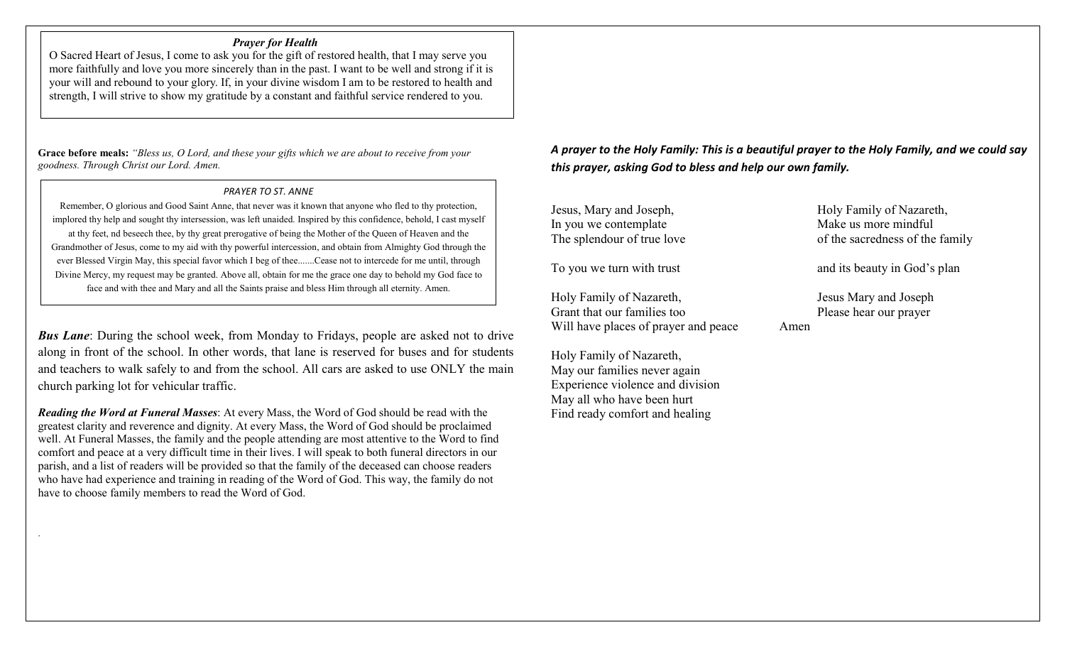# *Prayer for Health*

O Sacred Heart of Jesus, I come to ask you for the gift of restored health, that I may serve you more faithfully and love you more sincerely than in the past. I want to be well and strong if it is your will and rebound to your glory. If, in your divine wisdom I am to be restored to health and strength, I will strive to show my gratitude by a constant and faithful service rendered to you.

**Grace before meals:** *"Bless us, O Lord, and these your gifts which we are about to receive from your goodness. Through Christ our Lord. Amen.*

 $\overline{\phantom{a}}$ 

.

### *PRAYER TO ST. ANNE*

Remember, O glorious and Good Saint Anne, that never was it known that anyone who fled to thy protection, implored thy help and sought thy intersession, was left unaided. Inspired by this confidence, behold, I cast myself at thy feet, nd beseech thee, by thy great prerogative of being the Mother of the Queen of Heaven and the Grandmother of Jesus, come to my aid with thy powerful intercession, and obtain from Almighty God through the ever Blessed Virgin May, this special favor which I beg of thee.......Cease not to intercede for me until, through Divine Mercy, my request may be granted. Above all, obtain for me the grace one day to behold my God face to face and with thee and Mary and all the Saints praise and bless Him through all eternity. Amen.

*Bus Lane*: During the school week, from Monday to Fridays, people are asked not to drive along in front of the school. In other words, that lane is reserved for buses and for students and teachers to walk safely to and from the school. All cars are asked to use ONLY the main church parking lot for vehicular traffic.

*Reading the Word at Funeral Masses*: At every Mass, the Word of God should be read with the greatest clarity and reverence and dignity. At every Mass, the Word of God should be proclaimed well. At Funeral Masses, the family and the people attending are most attentive to the Word to find comfort and peace at a very difficult time in their lives. I will speak to both funeral directors in our parish, and a list of readers will be provided so that the family of the deceased can choose readers who have had experience and training in reading of the Word of God. This way, the family do not have to choose family members to read the Word of God.

*A prayer to the Holy Family: This is a beautiful prayer to the Holy Family, and we could say this prayer, asking God to bless and help our own family.* 

Jesus, Mary and Joseph, Holy Family of Nazareth, In you we contemplate Make us more mindful<br>The splendour of true love of the sacredness of the sacredness of the sacredness of the sacredness of the sacredness of the sacredness of the sacredness of the sacredness of the s

Holy Family of Nazareth, Jesus Mary and Joseph Grant that our families too Please hear our prayer Will have places of prayer and peace Amen

Holy Family of Nazareth, May our families never again Experience violence and division May all who have been hurt Find ready comfort and healing

of the sacredness of the family

To you we turn with trust and its beauty in God's plan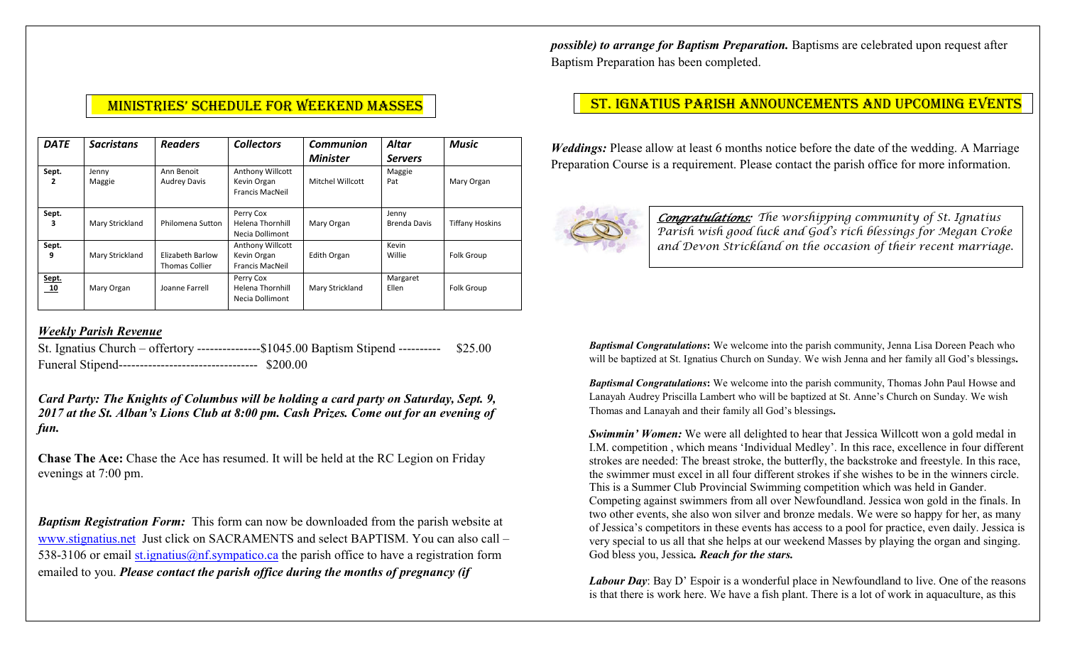*possible) to arrange for Baptism Preparation.* Baptisms are celebrated upon request after Baptism Preparation has been completed.

| <b>DATE</b> | <b>Sacristans</b> | <b>Readers</b>                     | <b>Collectors</b>                                                | Communion        | Altar                 | <b>Music</b>           |
|-------------|-------------------|------------------------------------|------------------------------------------------------------------|------------------|-----------------------|------------------------|
|             |                   |                                    |                                                                  | <b>Minister</b>  | <b>Servers</b>        |                        |
| Sept.<br>2  | Jenny<br>Maggie   | Ann Benoit<br><b>Audrey Davis</b>  | <b>Anthony Willcott</b><br>Kevin Organ<br><b>Francis MacNeil</b> | Mitchel Willcott | Maggie<br>Pat         | Mary Organ             |
| Sept.       | Mary Strickland   | Philomena Sutton                   | Perry Cox<br>Helena Thornhill<br>Necia Dollimont                 | Mary Organ       | Jenny<br>Brenda Davis | <b>Tiffany Hoskins</b> |
| Sept.<br>9  | Mary Strickland   | Elizabeth Barlow<br>Thomas Collier | <b>Anthony Willcott</b><br>Kevin Organ<br><b>Francis MacNeil</b> | Edith Organ      | Kevin<br>Willie       | Folk Group             |
| Sept.<br>10 | Mary Organ        | Joanne Farrell                     | Perry Cox<br>Helena Thornhill<br>Necia Dollimont                 | Mary Strickland  | Margaret<br>Ellen     | Folk Group             |

# *Weekly Parish Revenue*

St. Ignatius Church – offertory ---------------\$1045.00 Baptism Stipend ---------- \$25.00 Funeral Stipend--------------------------------- \$200.00

*Card Party: The Knights of Columbus will be holding a card party on Saturday, Sept. 9, 2017 at the St. Alban's Lions Club at 8:00 pm. Cash Prizes. Come out for an evening of fun.* 

**Chase The Ace:** Chase the Ace has resumed. It will be held at the RC Legion on Friday evenings at 7:00 pm.

*Baptism Registration Form:* This form can now be downloaded from the parish website at [www.stignatius.net](http://www.stignatius.net/) Just click on SACRAMENTS and select BAPTISM. You can also call – 538-3106 or email [st.ignatius@nf.sympatico.ca](mailto:st.ignatius@nf.sympatico.ca) the parish office to have a registration form emailed to you. *Please contact the parish office during the months of pregnancy (if* 

# MINISTRIES' SCHEDULE FOR WEEKEND MASSES NACKER ST. IGNATIUS PARISH ANNOUNCEMENTS AND UPCOMING EVENTS

*Weddings:* Please allow at least 6 months notice before the date of the wedding. A Marriage Preparation Course is a requirement. Please contact the parish office for more information.



*Congratulations: The worshipping community of St. Ignatius Parish wish good luck and God's rich blessings for Megan Croke and Devon Strickland on the occasion of their recent marriage.* 

*Baptismal Congratulations***:** We welcome into the parish community, Jenna Lisa Doreen Peach who will be baptized at St. Ignatius Church on Sunday. We wish Jenna and her family all God's blessings**.**

*Baptismal Congratulations***:** We welcome into the parish community, Thomas John Paul Howse and Lanayah Audrey Priscilla Lambert who will be baptized at St. Anne's Church on Sunday. We wish Thomas and Lanayah and their family all God's blessings**.**

*Swimmin' Women:* We were all delighted to hear that Jessica Willcott won a gold medal in I.M. competition , which means 'Individual Medley'. In this race, excellence in four different strokes are needed: The breast stroke, the butterfly, the backstroke and freestyle. In this race, the swimmer must excel in all four different strokes if she wishes to be in the winners circle. This is a Summer Club Provincial Swimming competition which was held in Gander. Competing against swimmers from all over Newfoundland. Jessica won gold in the finals. In two other events, she also won silver and bronze medals. We were so happy for her, as many of Jessica's competitors in these events has access to a pool for practice, even daily. Jessica is very special to us all that she helps at our weekend Masses by playing the organ and singing. God bless you, Jessica*. Reach for the stars.* 

*Labour Day*: Bay D' Espoir is a wonderful place in Newfoundland to live. One of the reasons is that there is work here. We have a fish plant. There is a lot of work in aquaculture, as this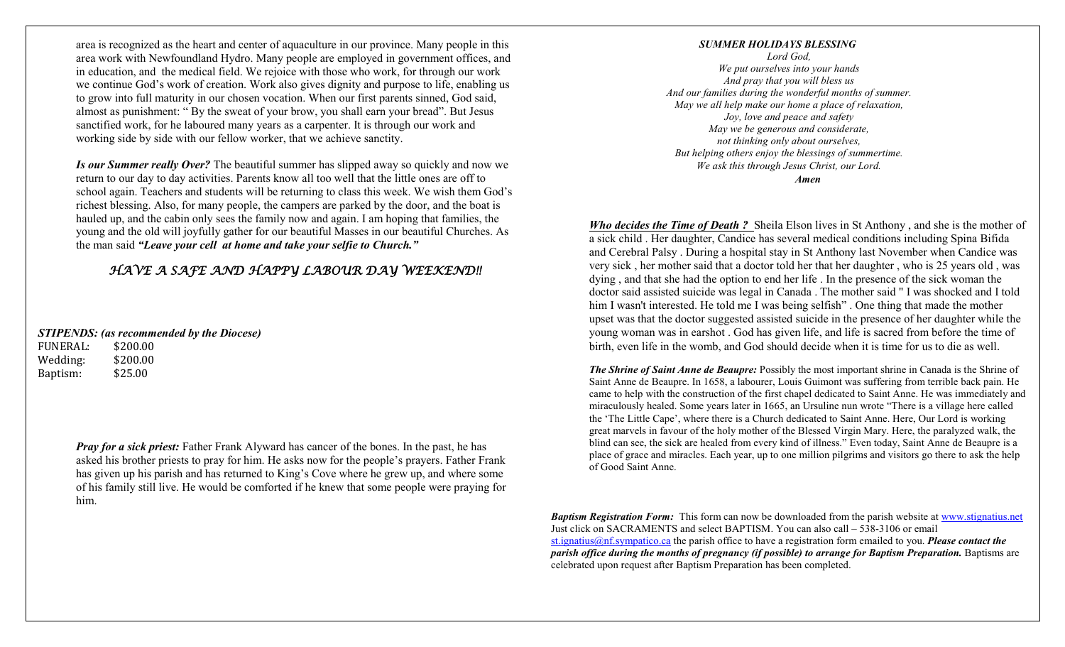area is recognized as the heart and center of aquaculture in our province. Many people in this area work with Newfoundland Hydro. Many people are employed in government offices, and in education, and the medical field. We rejoice with those who work, for through our work we continue God's work of creation. Work also gives dignity and purpose to life, enabling us to grow into full maturity in our chosen vocation. When our first parents sinned, God said, almost as punishment: " By the sweat of your brow, you shall earn your bread". But Jesus sanctified work, for he laboured many years as a carpenter. It is through our work and working side by side with our fellow worker, that we achieve sanctity.

*Is our Summer really Over?* The beautiful summer has slipped away so quickly and now we return to our day to day activities. Parents know all too well that the little ones are off to school again. Teachers and students will be returning to class this week. We wish them God's richest blessing. Also, for many people, the campers are parked by the door, and the boat is hauled up, and the cabin only sees the family now and again. I am hoping that families, the young and the old will joyfully gather for our beautiful Masses in our beautiful Churches. As the man said *"Leave your cell at home and take your selfie to Church."*

# *HAVE A SAFE AND HAPPY LABOUR DAY WEEKEND!!*

*STIPENDS: (as recommended by the Diocese)*

FUNERAL: \$200.00 Wedding: \$200.00 Baptism: \$25.00

> *Pray for a sick priest:* Father Frank Alyward has cancer of the bones. In the past, he has asked his brother priests to pray for him. He asks now for the people's prayers. Father Frank has given up his parish and has returned to King's Cove where he grew up, and where some of his family still live. He would be comforted if he knew that some people were praying for him.

#### *SUMMER HOLIDAYS BLESSING*

*Lord God, We put ourselves into your hands And pray that you will bless us And our families during the wonderful months of summer. May we all help make our home a place of relaxation, Joy, love and peace and safety May we be generous and considerate, not thinking only about ourselves, But helping others enjoy the blessings of summertime. We ask this through Jesus Christ, our Lord.*

*Amen*

*Who decides the Time of Death ?* Sheila Elson lives in St Anthony , and she is the mother of a sick child . Her daughter, Candice has several medical conditions including Spina Bifida and Cerebral Palsy . During a hospital stay in St Anthony last November when Candice was very sick , her mother said that a doctor told her that her daughter , who is 25 years old , was dying , and that she had the option to end her life . In the presence of the sick woman the doctor said assisted suicide was legal in Canada . The mother said " I was shocked and I told him I wasn't interested. He told me I was being selfish" . One thing that made the mother upset was that the doctor suggested assisted suicide in the presence of her daughter while the young woman was in earshot . God has given life, and life is sacred from before the time of birth, even life in the womb, and God should decide when it is time for us to die as well.

*The Shrine of Saint Anne de Beaupre:* Possibly the most important shrine in Canada is the Shrine of Saint Anne de Beaupre. In 1658, a labourer, Louis Guimont was suffering from terrible back pain. He came to help with the construction of the first chapel dedicated to Saint Anne. He was immediately and miraculously healed. Some years later in 1665, an Ursuline nun wrote "There is a village here called the 'The Little Cape', where there is a Church dedicated to Saint Anne. Here, Our Lord is working great marvels in favour of the holy mother of the Blessed Virgin Mary. Here, the paralyzed walk, the blind can see, the sick are healed from every kind of illness." Even today, Saint Anne de Beaupre is a place of grace and miracles. Each year, up to one million pilgrims and visitors go there to ask the help of Good Saint Anne.

*Baptism Registration Form:* This form can now be downloaded from the parish website at [www.stignatius.net](http://www.stignatius.net/) Just click on SACRAMENTS and select BAPTISM. You can also call – 538-3106 or email [st.ignatius@nf.sympatico.ca](mailto:st.ignatius@nf.sympatico.ca) the parish office to have a registration form emailed to you. *Please contact the parish office during the months of pregnancy (if possible) to arrange for Baptism Preparation.* Baptisms are celebrated upon request after Baptism Preparation has been completed.